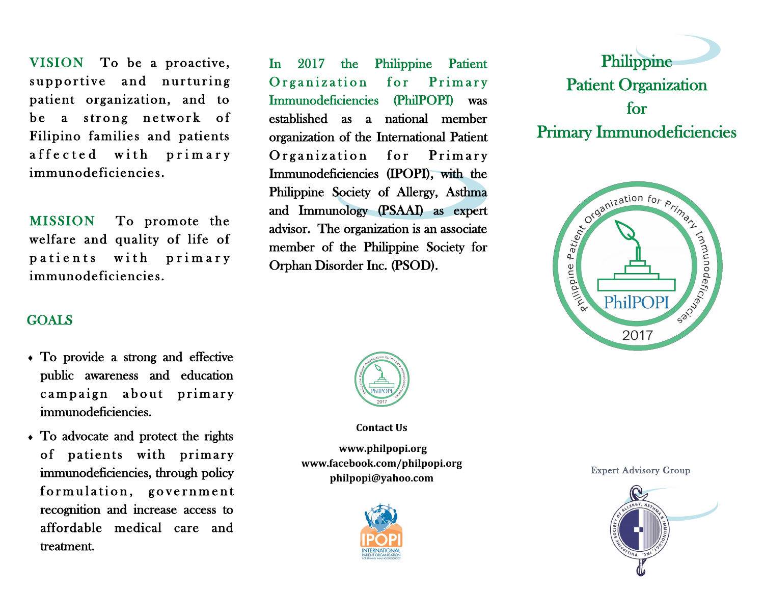VISION To be a proactive, supportive and nurturing patient organization, and to be a strong network of Filipino families and patients affected with primary immunodeficiencies.

MISSION To promote the welfare and quality of life of patients with primary immunodeficiencies.

In 2017 the Philippine Patient Organization for Primary Immunodeficiencies (PhilPOPI) was established as a national member organization of the International Patient Organization for Primary Immunodeficiencies (IPOPI), with the Philippine Society of Allergy, Asthma and Immunology (PSAAI) as expert advisor. The organization is an associate member of the Philippine Society for Orphan Disorder Inc. (PSOD).





# GOALS

- To provide a strong and effective public awareness and education campaign about primary immunodeficiencies.
- To advocate and protect the rights of patients with primary immunodeficiencies, through policy formulation, government recognition and increase access to affordable medical care and treatment.



**Contact Us**

**www.philpopi.org www.facebook.com/philpopi.org philpopi@yahoo.com**



Expert Advisory Group